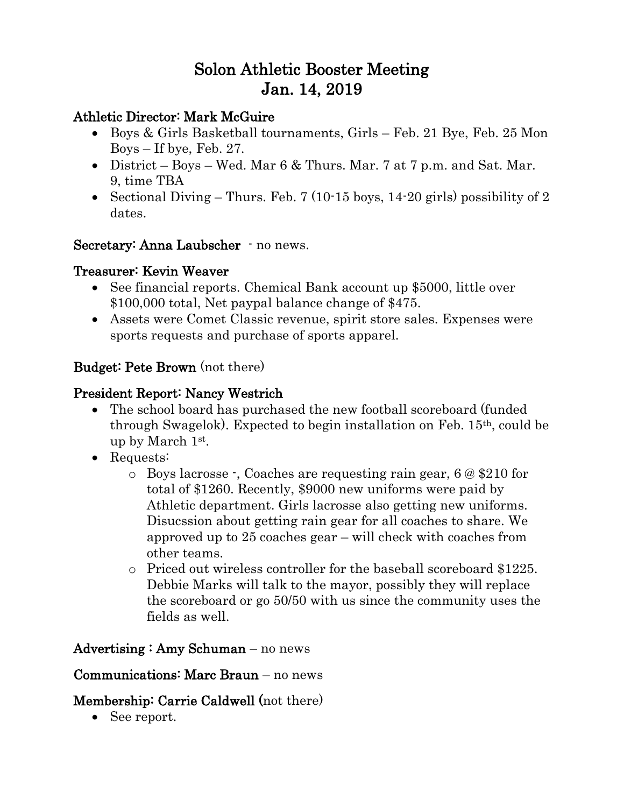# Solon Athletic Booster Meeting Jan. 14, 2019

## Athletic Director: Mark McGuire

- Boys & Girls Basketball tournaments, Girls Feb. 21 Bye, Feb. 25 Mon Boys – If bye, Feb. 27.
- District Boys Wed. Mar  $6 \&$  Thurs. Mar. 7 at 7 p.m. and Sat. Mar. 9, time TBA
- Sectional Diving Thurs. Feb. 7 (10-15 boys, 14-20 girls) possibility of 2 dates.

Secretary: Anna Laubscher · no news.

## Treasurer: Kevin Weaver

- See financial reports. Chemical Bank account up \$5000, little over \$100,000 total, Net paypal balance change of \$475.
- Assets were Comet Classic revenue, spirit store sales. Expenses were sports requests and purchase of sports apparel.

# Budget: Pete Brown (not there)

# President Report: Nancy Westrich

- The school board has purchased the new football scoreboard (funded through Swagelok). Expected to begin installation on Feb. 15th, could be up by March 1st .
- Requests:
	- o Boys lacrosse -, Coaches are requesting rain gear, 6 @ \$210 for total of \$1260. Recently, \$9000 new uniforms were paid by Athletic department. Girls lacrosse also getting new uniforms. Disucssion about getting rain gear for all coaches to share. We approved up to 25 coaches gear – will check with coaches from other teams.
	- o Priced out wireless controller for the baseball scoreboard \$1225. Debbie Marks will talk to the mayor, possibly they will replace the scoreboard or go 50/50 with us since the community uses the fields as well.

# Advertising : Amy Schuman – no news

# Communications: Marc Braun – no news

# Membership: Carrie Caldwell (not there)

• See report.